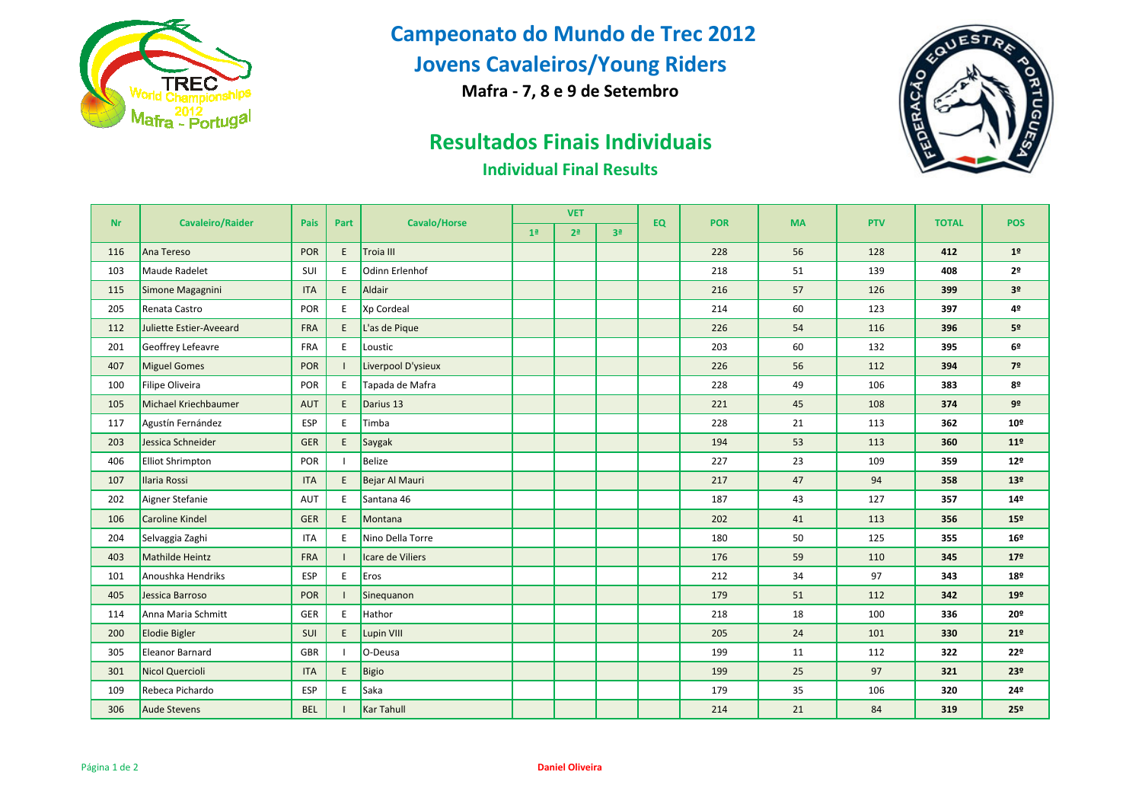

 **Campeonato do Mundo de Trec 2012**

## **Jovens Cavaleiros/Young Riders**

**Mafra - 7, 8 e 9 de Setembro**

## **Resultados Finais Individuais**

**Individual Final Results**



| <b>Nr</b> | <b>Cavaleiro/Raider</b> | <b>Pais</b> | Part | Cavalo/Horse       | <b>VET</b>     |                |                | EQ | <b>POR</b> | <b>MA</b> | <b>PTV</b> | <b>TOTAL</b> | <b>POS</b>      |
|-----------|-------------------------|-------------|------|--------------------|----------------|----------------|----------------|----|------------|-----------|------------|--------------|-----------------|
|           |                         |             |      |                    | 1 <sup>a</sup> | 2 <sup>a</sup> | 3 <sup>a</sup> |    |            |           |            |              |                 |
| 116       | Ana Tereso              | <b>POR</b>  | E    | Troia III          |                |                |                |    | 228        | 56        | 128        | 412          | 1 <sup>°</sup>  |
| 103       | Maude Radelet           | SUI         | E    | Odinn Erlenhof     |                |                |                |    | 218        | 51        | 139        | 408          | 2 <sup>o</sup>  |
| 115       | Simone Magagnini        | <b>ITA</b>  | E    | Aldair             |                |                |                |    | 216        | 57        | 126        | 399          | 3 <sup>o</sup>  |
| 205       | Renata Castro           | POR         | E    | Xp Cordeal         |                |                |                |    | 214        | 60        | 123        | 397          | 4º              |
| 112       | Juliette Estier-Aveeard | <b>FRA</b>  | E    | L'as de Pique      |                |                |                |    | 226        | 54        | 116        | 396          | 5 <sup>o</sup>  |
| 201       | Geoffrey Lefeavre       | <b>FRA</b>  | E.   | Loustic            |                |                |                |    | 203        | 60        | 132        | 395          | 6º              |
| 407       | <b>Miguel Gomes</b>     | POR         |      | Liverpool D'ysieux |                |                |                |    | 226        | 56        | 112        | 394          | 7 <sup>°</sup>  |
| 100       | <b>Filipe Oliveira</b>  | POR         | E    | Tapada de Mafra    |                |                |                |    | 228        | 49        | 106        | 383          | 8º              |
| 105       | Michael Kriechbaumer    | <b>AUT</b>  | E    | Darius 13          |                |                |                |    | 221        | 45        | 108        | 374          | 9º              |
| 117       | Agustín Fernández       | ESP         | E    | Timba              |                |                |                |    | 228        | 21        | 113        | 362          | 10 <sup>°</sup> |
| 203       | Jessica Schneider       | <b>GER</b>  | E    | Saygak             |                |                |                |    | 194        | 53        | 113        | 360          | 11 <sup>°</sup> |
| 406       | <b>Elliot Shrimpton</b> | POR         |      | <b>Belize</b>      |                |                |                |    | 227        | 23        | 109        | 359          | 12 <sup>o</sup> |
| 107       | <b>Ilaria Rossi</b>     | <b>ITA</b>  | E    | Bejar Al Mauri     |                |                |                |    | 217        | 47        | 94         | 358          | 13 <sup>°</sup> |
| 202       | Aigner Stefanie         | <b>AUT</b>  | E    | Santana 46         |                |                |                |    | 187        | 43        | 127        | 357          | 14 <sup>°</sup> |
| 106       | <b>Caroline Kindel</b>  | <b>GER</b>  | E    | Montana            |                |                |                |    | 202        | 41        | 113        | 356          | 15 <sup>o</sup> |
| 204       | Selvaggia Zaghi         | ITA         | E    | Nino Della Torre   |                |                |                |    | 180        | 50        | 125        | 355          | 16 <sup>°</sup> |
| 403       | <b>Mathilde Heintz</b>  | <b>FRA</b>  |      | Icare de Viliers   |                |                |                |    | 176        | 59        | 110        | 345          | 17 <sup>°</sup> |
| 101       | Anoushka Hendriks       | ESP         | E    | Eros               |                |                |                |    | 212        | 34        | 97         | 343          | 18º             |
| 405       | Jessica Barroso         | POR         |      | Sinequanon         |                |                |                |    | 179        | 51        | 112        | 342          | 19º             |
| 114       | Anna Maria Schmitt      | GER         | E    | Hathor             |                |                |                |    | 218        | 18        | 100        | 336          | $20^{\circ}$    |
| 200       | <b>Elodie Bigler</b>    | SUI         | E    | Lupin VIII         |                |                |                |    | 205        | 24        | 101        | 330          | 21 <sup>°</sup> |
| 305       | <b>Eleanor Barnard</b>  | GBR         |      | O-Deusa            |                |                |                |    | 199        | 11        | 112        | 322          | 22º             |
| 301       | <b>Nicol Quercioli</b>  | <b>ITA</b>  | E    | Bigio              |                |                |                |    | 199        | 25        | 97         | 321          | 23º             |
| 109       | Rebeca Pichardo         | ESP         | E    | Saka               |                |                |                |    | 179        | 35        | 106        | 320          | 24º             |
| 306       | <b>Aude Stevens</b>     | <b>BEL</b>  |      | <b>Kar Tahull</b>  |                |                |                |    | 214        | 21        | 84         | 319          | 25 <sup>o</sup> |